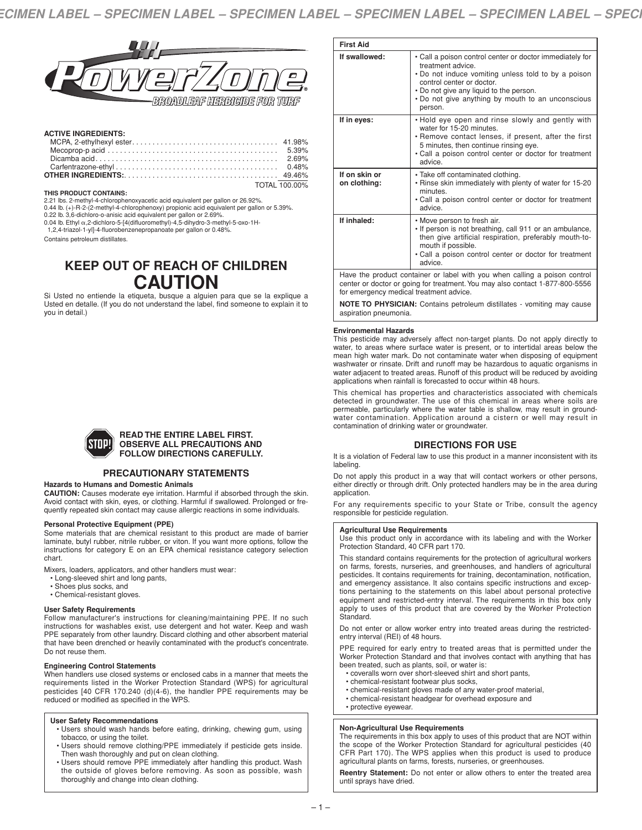

# **ACTIVE INGREDIENTS:**

| TOTAL 100.00% |
|---------------|

#### **THIS PRODUCT CONTAINS:**

2.21 lbs. 2-methyl-4-chlorophenoxyacetic acid equivalent per gallon or 26.92%. 0.44 lb. (+)-R-2-(2-methyl-4-chlorophenoxy) propionic acid equivalent per gallon or 5.39%.

0.22 lb. 3,6-dichloro-o-anisic acid equivalent per gallon or 2.69%.<br>0.04 lb. Ethyl α,2-dichloro-5-[4(difluoromethyl)-4,5-dihydro-3-methyl-5-oxo-1H-<br>1.2.4-triazol-1-vll-4-fluorobenzenepropanoate per gallon or 0.48%.

Contains petroleum distillates.

# **KEEP OUT OF REACH OF CHILDREN CAUTION**

Si Usted no entiende la etiqueta, busque a alguien para que se la explique a Usted en detalle. (If you do not understand the label, find someone to explain it to you in detail.)



## **READ THE ENTIRE LABEL FIRST. OBSERVE ALL PRECAUTIONS AND FOLLOW DIRECTIONS CAREFULLY.**

# **PRECAUTIONARY STATEMENTS**

## **Hazards to Humans and Domestic Animals**

**CAUTION:** Causes moderate eye irritation. Harmful if absorbed through the skin. Avoid contact with skin, eyes, or clothing. Harmful if swallowed. Prolonged or frequently repeated skin contact may cause allergic reactions in some individuals.

## **Personal Protective Equipment (PPE)**

Some materials that are chemical resistant to this product are made of barrier laminate, butyl rubber, nitrile rubber, or viton. If you want more options, follow the instructions for category E on an EPA chemical resistance category selection chart.

Mixers, loaders, applicators, and other handlers must wear:

- Long-sleeved shirt and long pants,
- Shoes plus socks, and
- Chemical-resistant gloves.

#### **User Safety Requirements**

Follow manufacturer's instructions for cleaning/maintaining PPE. If no such instructions for washables exist, use detergent and hot water. Keep and wash PPE separately from other laundry. Discard clothing and other absorbent material that have been drenched or heavily contaminated with the product's concentrate. Do not reuse them.

#### **Engineering Control Statements**

When handlers use closed systems or enclosed cabs in a manner that meets the requirements listed in the Worker Protection Standard (WPS) for agricultural pesticides [40 CFR 170.240 (d)(4-6), the handler PPE requirements may be reduced or modified as specified in the WPS.

#### **User Safety Recommendations**

- Users should wash hands before eating, drinking, chewing gum, using tobacco, or using the toilet.
- Users should remove clothing/PPE immediately if pesticide gets inside. Then wash thoroughly and put on clean clothing.
- Users should remove PPE immediately after handling this product. Wash the outside of gloves before removing. As soon as possible, wash thoroughly and change into clean clothing.

| <b>First Aid</b>                                                           |                                                                                                                                                                                                                                                                              |  |  |  |
|----------------------------------------------------------------------------|------------------------------------------------------------------------------------------------------------------------------------------------------------------------------------------------------------------------------------------------------------------------------|--|--|--|
| If swallowed:                                                              | • Call a poison control center or doctor immediately for<br>treatment advice.<br>. Do not induce vomiting unless told to by a poison<br>control center or doctor.<br>. Do not give any liquid to the person.<br>. Do not give anything by mouth to an unconscious<br>person. |  |  |  |
| If in eyes:                                                                | . Hold eye open and rinse slowly and gently with<br>water for 15-20 minutes.<br>• Remove contact lenses, if present, after the first<br>5 minutes, then continue rinsing eye.<br>• Call a poison control center or doctor for treatment<br>advice                            |  |  |  |
| If on skin or<br>on clothing:                                              | • Take off contaminated clothing.<br>. Rinse skin immediately with plenty of water for 15-20<br>minutes.<br>• Call a poison control center or doctor for treatment<br>advice.                                                                                                |  |  |  |
| If inhaled:                                                                | • Move person to fresh air.<br>. If person is not breathing, call 911 or an ambulance,<br>then give artificial respiration, preferably mouth-to-<br>mouth if possible.<br>• Call a poison control center or doctor for treatment<br>advice.                                  |  |  |  |
| Have the product container or label with you when calling a poison control |                                                                                                                                                                                                                                                                              |  |  |  |

center or doctor or going for treatment.You may also contact 1-877-800-5556 for emergency medical treatment advice.

**NOTE TO PHYSICIAN:** Contains petroleum distillates - vomiting may cause aspiration pneumonia.

#### **Environmental Hazards**

This pesticide may adversely affect non-target plants. Do not apply directly to water, to areas where surface water is present, or to intertidal areas below the mean high water mark. Do not contaminate water when disposing of equipment washwater or rinsate. Drift and runoff may be hazardous to aquatic organisms in water adjacent to treated areas. Runoff of this product will be reduced by avoiding applications when rainfall is forecasted to occur within 48 hours.

This chemical has properties and characteristics associated with chemicals detected in groundwater. The use of this chemical in areas where soils are permeable, particularly where the water table is shallow, may result in groundwater contamination. Application around a cistern or well may result in contamination of drinking water or groundwater.

# **DIRECTIONS FOR USE**

It is a violation of Federal law to use this product in a manner inconsistent with its labeling.

Do not apply this product in a way that will contact workers or other persons, either directly or through drift. Only protected handlers may be in the area during application.

For any requirements specific to your State or Tribe, consult the agency responsible for pesticide regulation.

#### **Agricultural Use Requirements**

Use this product only in accordance with its labeling and with the Worker Protection Standard, 40 CFR part 170.

This standard contains requirements for the protection of agricultural workers on farms, forests, nurseries, and greenhouses, and handlers of agricultural pesticides. It contains requirements for training, decontamination, notification, and emergency assistance. It also contains specific instructions and exceptions pertaining to the statements on this label about personal protective equipment and restricted-entry interval. The requirements in this box only apply to uses of this product that are covered by the Worker Protection Standard.

Do not enter or allow worker entry into treated areas during the restrictedentry interval (REI) of 48 hours.

PPE required for early entry to treated areas that is permitted under the Worker Protection Standard and that involves contact with anything that has been treated, such as plants, soil, or water is:

- coveralls worn over short-sleeved shirt and short pants,
- chemical-resistant footwear plus socks,
- chemical-resistant gloves made of any water-proof material,
- chemical-resistant headgear for overhead exposure and
- protective eyewear.

## **Non-Agricultural Use Requirements**

The requirements in this box apply to uses of this product that are NOT within the scope of the Worker Protection Standard for agricultural pesticides (40 CFR Part 170). The WPS applies when this product is used to produce agricultural plants on farms, forests, nurseries, or greenhouses.

**Reentry Statement:** Do not enter or allow others to enter the treated area until sprays have dried.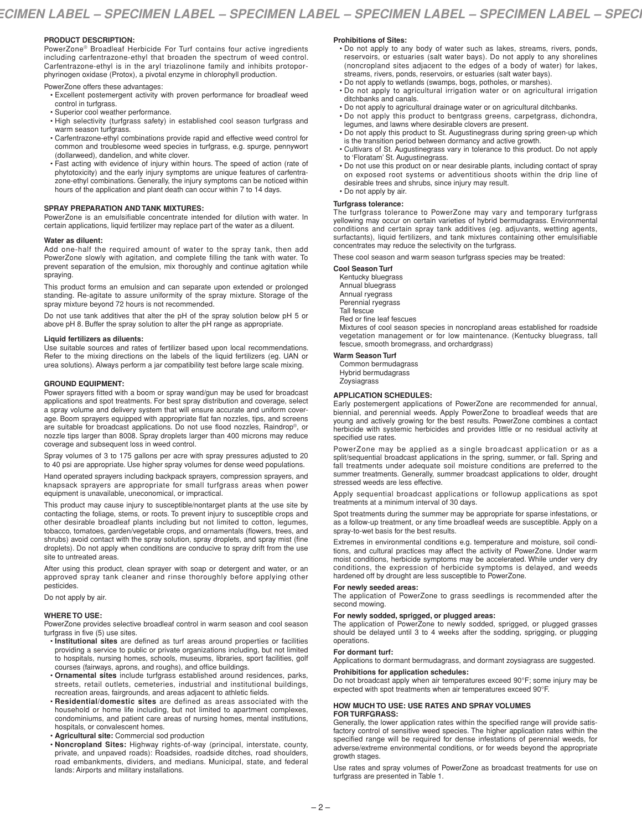## **PRODUCT DESCRIPTION:**

PowerZone® Broadleaf Herbicide For Turf contains four active ingredients including carfentrazone-ethyl that broaden the spectrum of weed control. Carfentrazone-ethyl is in the aryl triazolinone family and inhibits protoporphyrinogen oxidase (Protox), a pivotal enzyme in chlorophyll production.

PowerZone offers these advantages:

- Excellent postemergent activity with proven performance for broadleaf weed control in turfgrass.
- Superior cool weather performance.
- High selectivity (turfgrass safety) in established cool season turfgrass and warm season turfgrass.
- Carfentrazone-ethyl combinations provide rapid and effective weed control for common and troublesome weed species in turfgrass, e.g. spurge, pennywort (dollarweed), dandelion, and white clover.
- Fast acting with evidence of injury within hours. The speed of action (rate of phytotoxicity) and the early injury symptoms are unique features of carfentrazone-ethyl combinations. Generally, the injury symptoms can be noticed within hours of the application and plant death can occur within 7 to 14 days.

## **SPRAY PREPARATION AND TANK MIXTURES:**

PowerZone is an emulsifiable concentrate intended for dilution with water. In certain applications, liquid fertilizer may replace part of the water as a diluent.

#### **Water as diluent:**

Add one-half the required amount of water to the spray tank, then add PowerZone slowly with agitation, and complete filling the tank with water. To prevent separation of the emulsion, mix thoroughly and continue agitation while spraying.

This product forms an emulsion and can separate upon extended or prolonged standing. Re-agitate to assure uniformity of the spray mixture. Storage of the spray mixture beyond 72 hours is not recommended.

Do not use tank additives that alter the pH of the spray solution below pH 5 or above pH 8. Buffer the spray solution to alter the pH range as appropriate.

#### **Liquid fertilizers as diluents:**

Use suitable sources and rates of fertilizer based upon local recommendations. Refer to the mixing directions on the labels of the liquid fertilizers (eg. UAN or urea solutions). Always perform a jar compatibility test before large scale mixing.

## **GROUND EQUIPMENT:**

Power sprayers fitted with a boom or spray wand/gun may be used for broadcast applications and spot treatments. For best spray distribution and coverage, select a spray volume and delivery system that will ensure accurate and uniform coverage. Boom sprayers equipped with appropriate flat fan nozzles, tips, and screens are suitable for broadcast applications. Do not use flood nozzles, Raindrop®, or nozzle tips larger than 8008. Spray droplets larger than 400 microns may reduce coverage and subsequent loss in weed control.

Spray volumes of 3 to 175 gallons per acre with spray pressures adjusted to 20 to 40 psi are appropriate. Use higher spray volumes for dense weed populations.

Hand operated sprayers including backpack sprayers, compression sprayers, and knapsack sprayers are appropriate for small turfgrass areas when power equipment is unavailable, uneconomical, or impractical.

This product may cause injury to susceptible/nontarget plants at the use site by contacting the foliage, stems, or roots. To prevent injury to susceptible crops and other desirable broadleaf plants including but not limited to cotton, legumes, tobacco, tomatoes, garden/vegetable crops, and ornamentals (flowers, trees, and shrubs) avoid contact with the spray solution, spray droplets, and spray mist (fine droplets). Do not apply when conditions are conducive to spray drift from the use site to untreated areas.

After using this product, clean sprayer with soap or detergent and water, or an approved spray tank cleaner and rinse thoroughly before applying other pesticides.

Do not apply by air.

## **WHERE TO USE:**

PowerZone provides selective broadleaf control in warm season and cool season turfgrass in five (5) use sites.

- **Institutional sites** are defined as turf areas around properties or facilities providing a service to public or private organizations including, but not limited to hospitals, nursing homes, schools, museums, libraries, sport facilities, golf courses (fairways, aprons, and roughs), and office buildings.
- **Ornamental sites** include turfgrass established around residences, parks, streets, retail outlets, cemeteries, industrial and institutional buildings, recreation areas, fairgrounds, and areas adjacent to athletic fields.
- **Residential/domestic sites** are defined as areas associated with the household or home life including, but not limited to apartment complexes, condominiums, and patient care areas of nursing homes, mental institutions, hospitals, or convalescent homes.
- **Agricultural site:** Commercial sod production
- **Noncropland Sites:** Highway rights-of-way (principal, interstate, county, private, and unpaved roads): Roadsides, roadside ditches, road shoulders, road embankments, dividers, and medians. Municipal, state, and federal lands: Airports and military installations.

## **Prohibitions of Sites:**

- Do not apply to any body of water such as lakes, streams, rivers, ponds, reservoirs, or estuaries (salt water bays). Do not apply to any shorelines (noncropland sites adjacent to the edges of a body of water) for lakes, streams, rivers, ponds, reservoirs, or estuaries (salt water bays).
- Do not apply to wetlands (swamps, bogs, potholes, or marshes).
- Do not apply to agricultural irrigation water or on agricultural irrigation ditchbanks and canals.
- Do not apply to agricultural drainage water or on agricultural ditchbanks.
- Do not apply this product to bentgrass greens, carpetgrass, dichondra,
- legumes, and lawns where desirable clovers are present. • Do not apply this product to St. Augustinegrass during spring green-up which
- is the transition period between dormancy and active growth. • Cultivars of St. Augustinegrass vary in tolerance to this product. Do not apply to 'Floratam' St. Augustinegrass.
- Do not use this product on or near desirable plants, including contact of spray on exposed root systems or adventitious shoots within the drip line of desirable trees and shrubs, since injury may result. • Do not apply by air.

# **Turfgrass tolerance:**

The turfgrass tolerance to PowerZone may vary and temporary turfgrass yellowing may occur on certain varieties of hybrid bermudagrass. Environmental conditions and certain spray tank additives (eg. adjuvants, wetting agents, surfactants), liquid fertilizers, and tank mixtures containing other emulsifiable concentrates may reduce the selectivity on the turfgrass.

These cool season and warm season turfgrass species may be treated:

#### **Cool Season Turf**

Kentucky bluegrass Annual bluegrass Annual ryegrass Perennial ryegrass Tall fescue

Red or fine leaf fescues

Mixtures of cool season species in noncropland areas established for roadside vegetation management or for low maintenance. (Kentucky bluegrass, tall fescue, smooth bromegrass, and orchardgrass)

## **Warm Season Turf**

Common bermudagrass Hybrid bermudagrass Zoysiagrass

#### **APPLICATION SCHEDULES:**

Early postemergent applications of PowerZone are recommended for annual, biennial, and perennial weeds. Apply PowerZone to broadleaf weeds that are young and actively growing for the best results. PowerZone combines a contact herbicide with systemic herbicides and provides little or no residual activity at specified use rates.

PowerZone may be applied as a single broadcast application or as a split/sequential broadcast applications in the spring, summer, or fall. Spring and fall treatments under adequate soil moisture conditions are preferred to the summer treatments. Generally, summer broadcast applications to older, drought stressed weeds are less effective.

Apply sequential broadcast applications or followup applications as spot treatments at a minimum interval of 30 days.

Spot treatments during the summer may be appropriate for sparse infestations, or as a follow-up treatment, or any time broadleaf weeds are susceptible. Apply on a spray-to-wet basis for the best results.

Extremes in environmental conditions e.g. temperature and moisture, soil conditions, and cultural practices may affect the activity of PowerZone. Under warm moist conditions, herbicide symptoms may be accelerated. While under very dry conditions, the expression of herbicide symptoms is delayed, and weeds hardened off by drought are less susceptible to PowerZone.

## **For newly seeded areas:**

The application of PowerZone to grass seedlings is recommended after the second mowing.

# **For newly sodded, sprigged, or plugged areas:**

The application of PowerZone to newly sodded, sprigged, or plugged grasses should be delayed until 3 to 4 weeks after the sodding, sprigging, or plugging operations.

#### **For dormant turf:**

Applications to dormant bermudagrass, and dormant zoysiagrass are suggested. **Prohibitions for application schedules:**

## Do not broadcast apply when air temperatures exceed 90°F; some injury may be expected with spot treatments when air temperatures exceed 90°F.

**HOW MUCH TO USE: USE RATES AND SPRAY VOLUMES**

# **FOR TURFGRASS:**

Generally, the lower application rates within the specified range will provide satisfactory control of sensitive weed species. The higher application rates within the specified range will be required for dense infestations of perennial weeds, for adverse/extreme environmental conditions, or for weeds beyond the appropriate growth stages.

Use rates and spray volumes of PowerZone as broadcast treatments for use on turfgrass are presented in Table 1.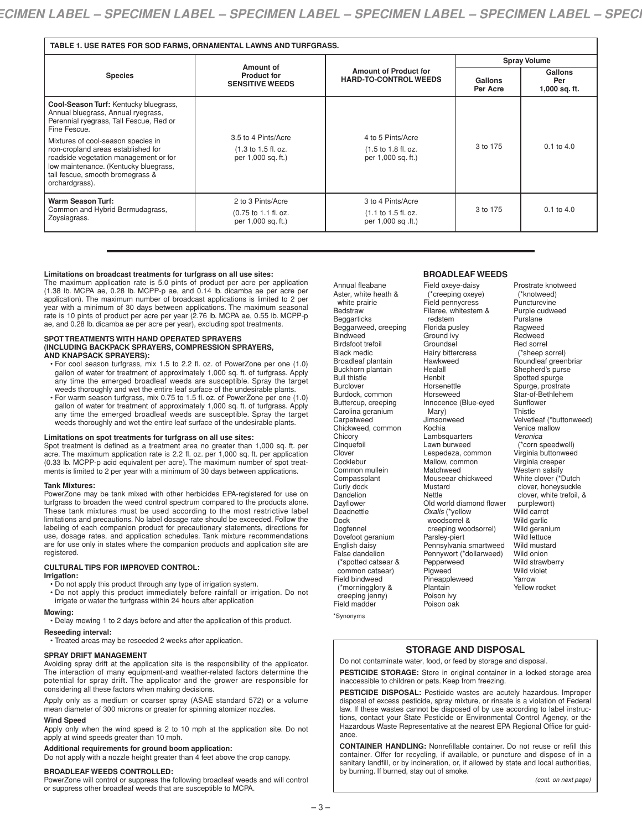| TABLE 1. USE RATES FOR SOD FARMS, ORNAMENTAL LAWNS AND TURFGRASS.                                                                                                                                                |                                                                                      |                                                                                    |                     |                                   |  |  |
|------------------------------------------------------------------------------------------------------------------------------------------------------------------------------------------------------------------|--------------------------------------------------------------------------------------|------------------------------------------------------------------------------------|---------------------|-----------------------------------|--|--|
| <b>Species</b>                                                                                                                                                                                                   | Amount of<br><b>Product for</b><br><b>SENSITIVE WEEDS</b>                            | <b>Amount of Product for</b><br><b>HARD-TO-CONTROL WEEDS</b>                       | <b>Spray Volume</b> |                                   |  |  |
|                                                                                                                                                                                                                  |                                                                                      |                                                                                    | Gallons<br>Per Acre | Gallons<br>Per<br>$1,000$ sq. ft. |  |  |
| Cool-Season Turf: Kentucky bluegrass,<br>Annual bluegrass, Annual ryegrass,<br>Perennial ryegrass, Tall Fescue, Red or<br>Fine Fescue.                                                                           | 3.5 to 4 Pints/Acre<br>$(1.3 \text{ to } 1.5 \text{ fl. oz.})$<br>per 1,000 sq. ft.) |                                                                                    |                     |                                   |  |  |
| Mixtures of cool-season species in<br>non-cropland areas established for<br>roadside vegetation management or for<br>low maintenance. (Kentucky bluegrass,<br>tall fescue, smooth bromegrass &<br>orchardgrass). |                                                                                      | 4 to 5 Pints/Acre<br>$(1.5 \text{ to } 1.8 \text{ fl. oz.})$<br>per 1,000 sq. ft.) | 3 to 175            | $0.1$ to $4.0$                    |  |  |
| <b>Warm Season Turf:</b><br>Common and Hybrid Bermudagrass,<br>Zoysiagrass.                                                                                                                                      | 2 to 3 Pints/Acre<br>(0.75 to 1.1 fl. oz.<br>per 1,000 sq. ft.)                      | 3 to 4 Pints/Acre<br>(1.1 to 1.5 fl. oz.<br>per 1,000 sq .ft.)                     | 3 to 175            | $0.1$ to $4.0$                    |  |  |

#### **Limitations on broadcast treatments for turfgrass on all use sites:**

The maximum application rate is 5.0 pints of product per acre per application (1.38 lb. MCPA ae, 0.28 lb. MCPP-p ae, and 0.14 lb. dicamba ae per acre per application). The maximum number of broadcast applications is limited to 2 per year with a minimum of 30 days between applications. The maximum seasonal rate is 10 pints of product per acre per year (2.76 lb. MCPA ae, 0.55 lb. MCPP-p ae, and 0.28 lb. dicamba ae per acre per year), excluding spot treatments.

#### **SPOT TREATMENTS WITH HAND OPERATED SPRAYERS (INCLUDING BACKPACK SPRAYERS, COMPRESSION SPRAYERS, AND KNAPSACK SPRAYERS):**

- For cool season turfgrass, mix 1.5 to 2.2 fl. oz. of PowerZone per one (1.0) gallon of water for treatment of approximately 1,000 sq. ft. of turfgrass. Apply any time the emerged broadleaf weeds are susceptible. Spray the target weeds thoroughly and wet the entire leaf surface of the undesirable plants.
- For warm season turfgrass, mix 0.75 to 1.5 fl. oz. of PowerZone per one (1.0) gallon of water for treatment of approximately 1,000 sq. ft. of turfgrass. Apply any time the emerged broadleaf weeds are susceptible. Spray the target weeds thoroughly and wet the entire leaf surface of the undesirable plants.

## **Limitations on spot treatments for turfgrass on all use sites:**

Spot treatment is defined as a treatment area no greater than 1,000 sq. ft. per acre. The maximum application rate is 2.2 fl. oz. per 1,000 sq. ft. per application (0.33 lb. MCPP-p acid equivalent per acre). The maximum number of spot treatments is limited to 2 per year with a minimum of 30 days between applications.

#### **Tank Mixtures:**

PowerZone may be tank mixed with other herbicides EPA-registered for use on turfgrass to broaden the weed control spectrum compared to the products alone. These tank mixtures must be used according to the most restrictive label limitations and precautions. No label dosage rate should be exceeded. Follow the labeling of each companion product for precautionary statements, directions for use, dosage rates, and application schedules. Tank mixture recommendations are for use only in states where the companion products and application site are registered.

## **CULTURAL TIPS FOR IMPROVED CONTROL:**

# **Irrigation:**

- Do not apply this product through any type of irrigation system.
- Do not apply this product immediately before rainfall or irrigation. Do not irrigate or water the turfgrass within 24 hours after application

#### **Mowing:**

• Delay mowing 1 to 2 days before and after the application of this product.

# **Reseeding interval:**

• Treated areas may be reseeded 2 weeks after application.

## **SPRAY DRIFT MANAGEMENT**

Avoiding spray drift at the application site is the responsibility of the applicator. The interaction of many equipment-and weather-related factors determine the potential for spray drift. The applicator and the grower are responsible for considering all these factors when making decisions.

Apply only as a medium or coarser spray (ASAE standard 572) or a volume mean diameter of 300 microns or greater for spinning atomizer nozzles.

## **Wind Speed**

Apply only when the wind speed is 2 to 10 mph at the application site. Do not apply at wind speeds greater than 10 mph.

# **Additional requirements for ground boom application:**

Do not apply with a nozzle height greater than 4 feet above the crop canopy.

## **BROADLEAF WEEDS CONTROLLED:**

PowerZone will control or suppress the following broadleaf weeds and will control or suppress other broadleaf weeds that are susceptible to MCPA.

Annual fleabane Aster, white heath & white prairie **Bedstraw** Beggarticks Beggarweed, creeping Bindweed Birdsfoot trefoil Black medic Broadleaf plantain Buckhorn plantain Bull thistle **Burclover** Burdock, common Buttercup, creeping Carolina geranium **Carpetweed** Chickweed, common Chicory **Cinquefoil Clover Cocklebur** Common mullein Compassplant Curly dock Dandelion Dayflower Deadnettle Dock Dogfennel Dovefoot geranium English daisy English caller (\*spotted catsear & common catsear) Field bindweed (\*morningglory & creeping jenny) Field madder

\*Synonyms

## **BROADLEAF WEEDS**

Field oxeye-daisy (\*creeping oxeye) Field pennycress Filaree, whitestem & redstem Florida pusley Ground ivy Groundsel Hairy bittercress Hawkweed Healall Henbit Horsenettle Horseweed Innocence (Blue-eyed Mary) Jimsonweed Kochia Lambsquarters Lawn burweed Lespedeza, common Mallow, common Matchweed Mouseear chickweed Mustard Nettle Old world diamond flower *Oxalis* (\*yellow woodsorrel & creeping woodsorrel) Parsley-piert Pennsylvania smartweed Pennywort (\*dollarweed) **Pepperweed** Pigweed Pineappleweed Plantain Poison ivy Poison oak

Prostrate knotweed (\*knotweed) Puncturevine Purple cudweed Purslane **Ragweed** Redweed Red sorrel (\*sheep sorrel) Roundleaf greenbriar Shepherd's purse Spotted spurge Spurge, prostrate Star-of-Bethlehem **Sunflower Thistle** Velvetleaf (\*buttonweed) Venice mallow *Veronica* (\*corn speedwell) Virginia buttonweed Virginia creeper Western salsify White clover (\*Dutch clover, honeysuckle clover, white trefoil, & purplewort) Wild carrot Wild garlic Wild geranium Wild lettuce Wild mustard Wild onion Wild strawberry Wild violet Yarrow Yellow rocket

# **STORAGE AND DISPOSAL**

Do not contaminate water, food, or feed by storage and disposal. **PESTICIDE STORAGE:** Store in original container in a locked storage area inaccessible to children or pets. Keep from freezing.

**PESTICIDE DISPOSAL:** Pesticide wastes are acutely hazardous. Improper disposal of excess pesticide, spray mixture, or rinsate is a violation of Federal law. If these wastes cannot be disposed of by use according to label instructions, contact your State Pesticide or Environmental Control Agency, or the Hazardous Waste Representative at the nearest EPA Regional Office for guidance.

**CONTAINER HANDLING:** Nonrefillable container. Do not reuse or refill this container. Offer for recycling, if available, or puncture and dispose of in a sanitary landfill, or by incineration, or, if allowed by state and local authorities, by burning. If burned, stay out of smoke.

*(cont. on next page)*